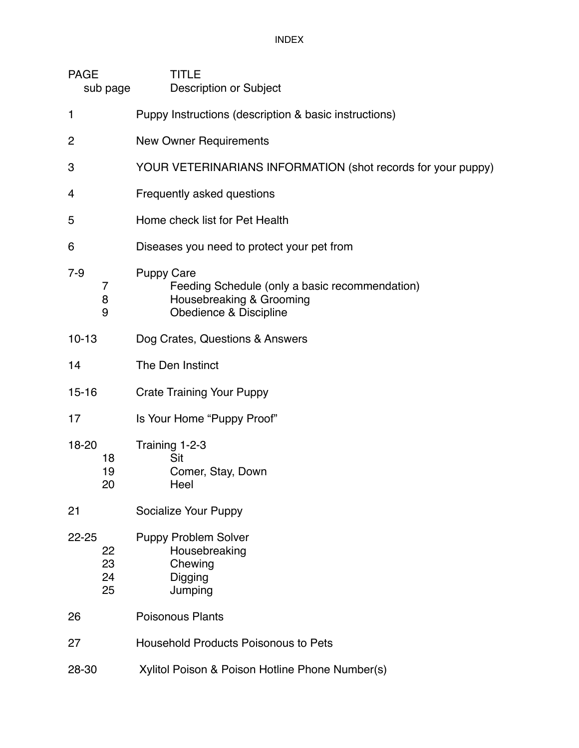INDEX

| <b>PAGE</b><br>sub page           | TITLE<br><b>Description or Subject</b>                                                                                    |
|-----------------------------------|---------------------------------------------------------------------------------------------------------------------------|
| 1                                 | Puppy Instructions (description & basic instructions)                                                                     |
| 2                                 | <b>New Owner Requirements</b>                                                                                             |
| 3                                 | YOUR VETERINARIANS INFORMATION (shot records for your puppy)                                                              |
| 4                                 | Frequently asked questions                                                                                                |
| 5                                 | Home check list for Pet Health                                                                                            |
| 6                                 | Diseases you need to protect your pet from                                                                                |
| $7-9$<br>7<br>8<br>9              | <b>Puppy Care</b><br>Feeding Schedule (only a basic recommendation)<br>Housebreaking & Grooming<br>Obedience & Discipline |
| $10 - 13$                         | Dog Crates, Questions & Answers                                                                                           |
| 14                                | The Den Instinct                                                                                                          |
| $15 - 16$                         | <b>Crate Training Your Puppy</b>                                                                                          |
| 17                                | Is Your Home "Puppy Proof"                                                                                                |
| 18-20<br>18<br>19<br>20           | Training 1-2-3<br>Sit<br>Comer, Stay, Down<br>Heel                                                                        |
| 21                                | Socialize Your Puppy                                                                                                      |
| $22 - 25$<br>22<br>23<br>24<br>25 | <b>Puppy Problem Solver</b><br>Housebreaking<br>Chewing<br>Digging<br>Jumping                                             |
| 26                                | <b>Poisonous Plants</b>                                                                                                   |
| 27                                | <b>Household Products Poisonous to Pets</b>                                                                               |
| 28-30                             | Xylitol Poison & Poison Hotline Phone Number(s)                                                                           |